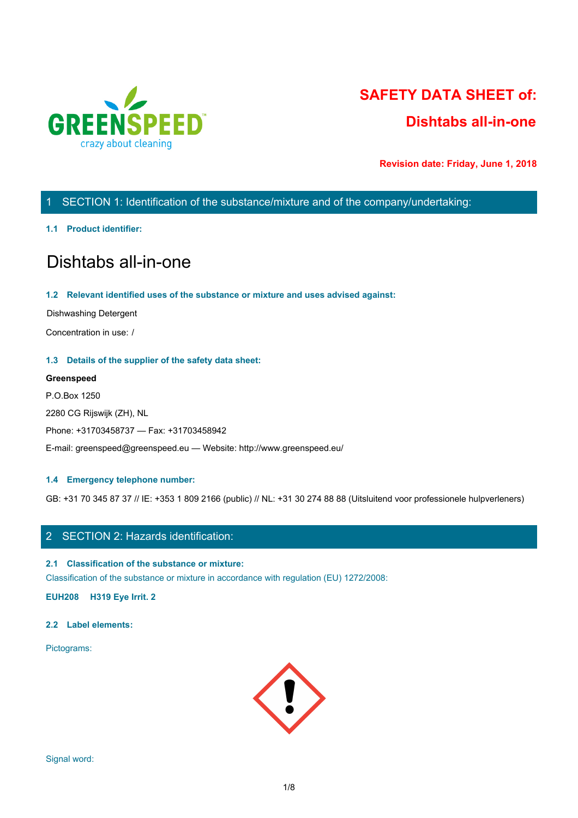

# **SAFETY DATA SHEET of: Dishtabs all-in-one**

**Revision date: Friday, June 1, 2018**

# 1 SECTION 1: Identification of the substance/mixture and of the company/undertaking:

# **1.1 Product identifier:**

# Dishtabs all-in-one

# **1.2 Relevant identified uses of the substance or mixture and uses advised against:**

Dishwashing Detergent

Concentration in use: /

# **1.3 Details of the supplier of the safety data sheet:**

# **Greenspeed**

P.O.Box 1250 2280 CG Rijswijk (ZH), NL Phone: +31703458737 — Fax: +31703458942 E-mail: greenspeed@greenspeed.eu — Website: http://www.greenspeed.eu/

# **1.4 Emergency telephone number:**

GB: +31 70 345 87 37 // IE: +353 1 809 2166 (public) // NL: +31 30 274 88 88 (Uitsluitend voor professionele hulpverleners)

# 2 SECTION 2: Hazards identification:

# **2.1 Classification of the substance or mixture:**

Classification of the substance or mixture in accordance with regulation (EU) 1272/2008:

**EUH208 H319 Eye Irrit. 2**

# **2.2 Label elements:**

Pictograms:

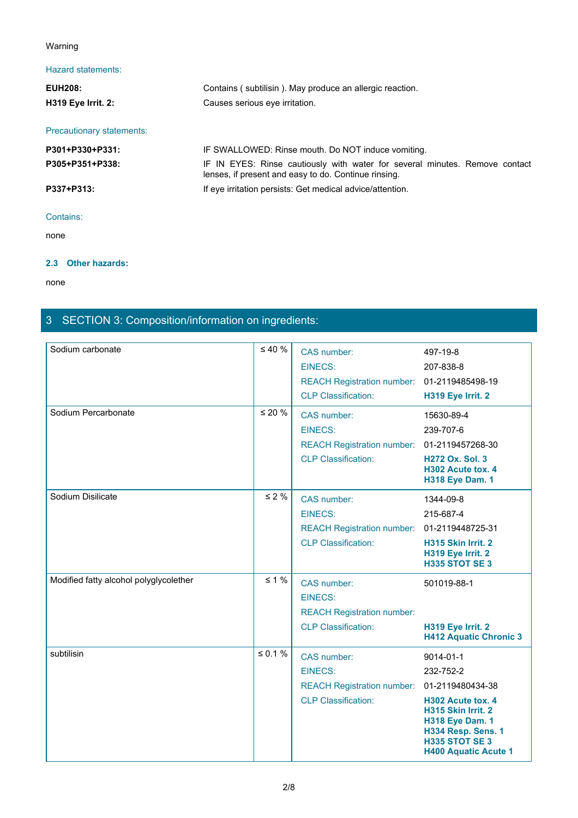# Warning

# Hazard statements:

| Warning                   |                                                                                                                                     |
|---------------------------|-------------------------------------------------------------------------------------------------------------------------------------|
| Hazard statements:        |                                                                                                                                     |
| <b>EUH208:</b>            | Contains (subtilisin). May produce an allergic reaction.                                                                            |
| <b>H319 Eye Irrit. 2:</b> | Causes serious eye irritation.                                                                                                      |
| Precautionary statements: |                                                                                                                                     |
| P301+P330+P331:           | IF SWALLOWED: Rinse mouth. Do NOT induce vomiting.                                                                                  |
| P305+P351+P338:           | IF IN EYES: Rinse cautiously with water for several minutes. Remove contact<br>lenses, if present and easy to do. Continue rinsing. |
| P337+P313:                | If eye irritation persists: Get medical advice/attention.                                                                           |
| Contains:                 |                                                                                                                                     |
| none                      |                                                                                                                                     |

none and the state of the state of the state of the state of the state of the state of the state of the state of the state of the state of the state of the state of the state of the state of the state of the state of the s

# **2.3 Other hazards:**

none and the state of the state of the state of the state of the state of the state of the state of the state of the state of the state of the state of the state of the state of the state of the state of the state of the s

# 3 SECTION 3: Composition/information on ingredients:

| Sodium carbonate                       | $\leq 40 \%$ | CAS number:<br><b>EINECS:</b><br>REACH Registration number: 01-2119485498-19<br><b>CLP Classification:</b> | 497-19-8<br>207-838-8<br>H319 Eye Irrit. 2                                                                                                                                      |
|----------------------------------------|--------------|------------------------------------------------------------------------------------------------------------|---------------------------------------------------------------------------------------------------------------------------------------------------------------------------------|
| Sodium Percarbonate                    | $\leq 20 \%$ | CAS number:<br><b>EINECS:</b><br>REACH Registration number: 01-2119457268-30<br><b>CLP Classification:</b> | 15630-89-4<br>239-707-6<br><b>H272 Ox. Sol. 3</b><br>H302 Acute tox. 4<br><b>H318 Eye Dam. 1</b>                                                                                |
| Sodium Disilicate                      | $\leq 2 \%$  | CAS number:<br><b>EINECS:</b><br>REACH Registration number: 01-2119448725-31<br><b>CLP Classification:</b> | 1344-09-8<br>215-687-4<br>H315 Skin Irrit. 2<br>H319 Eye Irrit. 2<br><b>H335 STOT SE 3</b>                                                                                      |
| Modified fatty alcohol polyglycolether | $\leq 1\%$   | CAS number:<br><b>EINECS:</b><br><b>REACH Registration number:</b><br><b>CLP Classification:</b>           | 501019-88-1<br>H319 Eye Irrit. 2<br><b>H412 Aquatic Chronic 3</b>                                                                                                               |
| subtilisin                             | $\leq 0.1$ % | CAS number:<br><b>EINECS:</b><br>REACH Registration number: 01-2119480434-38<br><b>CLP Classification:</b> | $9014 - 01 - 1$<br>232-752-2<br>H302 Acute tox. 4<br>H315 Skin Irrit. 2<br><b>H318 Eye Dam. 1</b><br>H334 Resp. Sens. 1<br><b>H335 STOT SE 3</b><br><b>H400 Aquatic Acute 1</b> |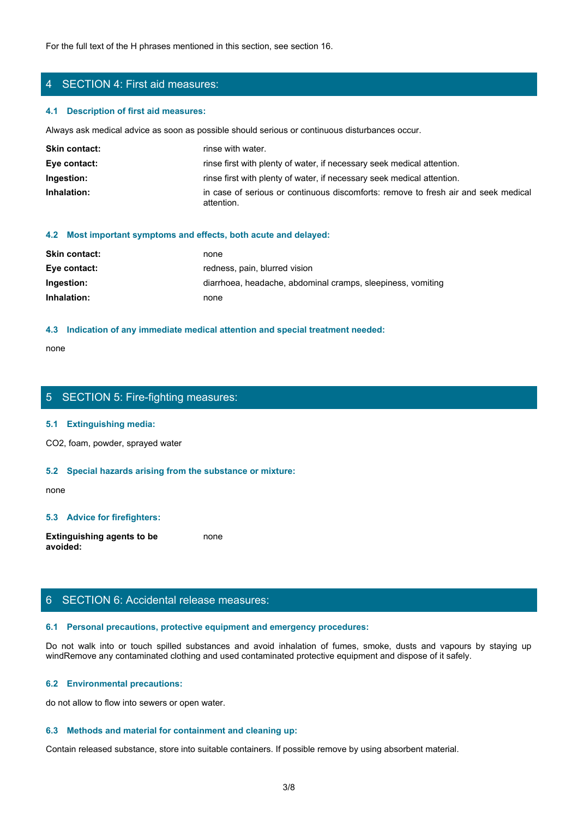For the full text of the H phrases mentioned in this section, see section 16.

# 4 SECTION 4: First aid measures:

#### **4.1 Description of first aid measures:**

Always ask medical advice as soon as possible should serious or continuous disturbances occur.

| <b>Skin contact:</b> | rinse with water.                                                                                |
|----------------------|--------------------------------------------------------------------------------------------------|
| Eye contact:         | rinse first with plenty of water, if necessary seek medical attention.                           |
| Ingestion:           | rinse first with plenty of water, if necessary seek medical attention.                           |
| Inhalation:          | in case of serious or continuous discomforts: remove to fresh air and seek medical<br>attention. |

#### **4.2 Most important symptoms and effects, both acute and delayed:**

| <b>Skin contact:</b> | none                                                        |
|----------------------|-------------------------------------------------------------|
| Eye contact:         | redness, pain, blurred vision                               |
| Ingestion:           | diarrhoea, headache, abdominal cramps, sleepiness, vomiting |
| Inhalation:          | none                                                        |

#### **4.3 Indication of any immediate medical attention and special treatment needed:**

none and the state of the state of the state of the state of the state of the state of the state of the state of the state of the state of the state of the state of the state of the state of the state of the state of the s

# 5 SECTION 5: Fire-fighting measures:

### **5.1 Extinguishing media:**

CO2, foam, powder, sprayed water

## **5.2 Special hazards arising from the substance or mixture:**

none and the state of the state of the state of the state of the state of the state of the state of the state of the state of the state of the state of the state of the state of the state of the state of the state of the s

# **5.3 Advice for firefighters:**

**Extinguishing agents to be avoided:** none and the state of the state of the state of the state of the state of the state of the state of the state of the state of the state of the state of the state of the state of the state of the state of the state of the s

# 6 SECTION 6: Accidental release measures:

#### **6.1 Personal precautions, protective equipment and emergency procedures:**

none<br>
S. SECTION 5: Fire-fighting measures:<br>
S. S. Special hazards arising from the substance or mixture:<br>
H. S. Special hazards arising from the substance or mixture:<br>
and avoid in the fumes, spilled substances and avoid windRemove any contaminated clothing and used contaminated protective equipment and dispose of it safely.

#### **6.2 Environmental precautions:**

do not allow to flow into sewers or open water.

### **6.3 Methods and material for containment and cleaning up:**

Contain released substance, store into suitable containers. If possible remove by using absorbent material.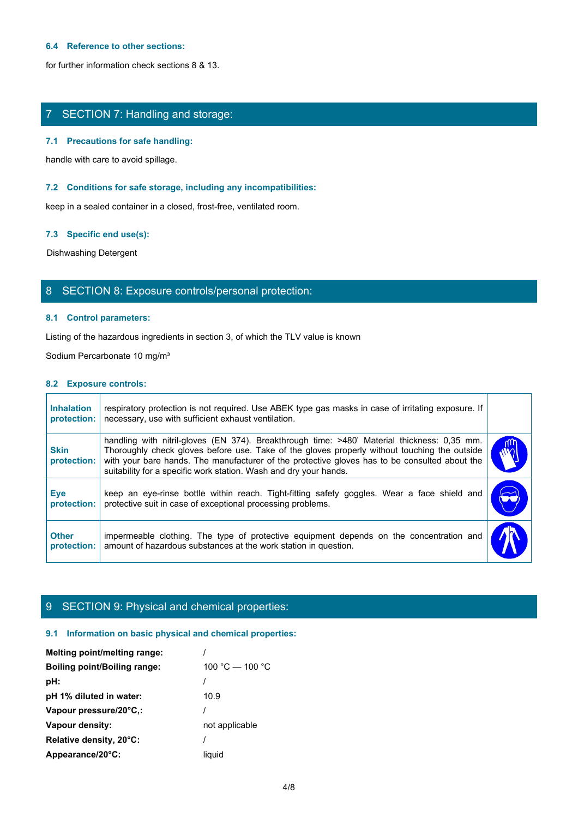## **6.4 Reference to other sections:**

for further information check sections 8 & 13.

# 7 SECTION 7: Handling and storage:

### **7.1 Precautions for safe handling:**

### **7.2 Conditions for safe storage, including any incompatibilities:**

### **7.3 Specific end use(s):**

# 8 SECTION 8: Exposure controls/personal protection:

# **8.1 Control parameters:**

### **8.2 Exposure controls:**

|                                  | $\ldots$ recautions for safe narround.                                                                                                                                                                                                                                                                                                                            |            |
|----------------------------------|-------------------------------------------------------------------------------------------------------------------------------------------------------------------------------------------------------------------------------------------------------------------------------------------------------------------------------------------------------------------|------------|
|                                  | handle with care to avoid spillage.                                                                                                                                                                                                                                                                                                                               |            |
|                                  | 7.2 Conditions for safe storage, including any incompatibilities:                                                                                                                                                                                                                                                                                                 |            |
|                                  | keep in a sealed container in a closed, frost-free, ventilated room.                                                                                                                                                                                                                                                                                              |            |
| 7.3 Specific end use(s):         |                                                                                                                                                                                                                                                                                                                                                                   |            |
| Dishwashing Detergent            |                                                                                                                                                                                                                                                                                                                                                                   |            |
|                                  | 8 SECTION 8: Exposure controls/personal protection:                                                                                                                                                                                                                                                                                                               |            |
|                                  | 8.1 Control parameters:                                                                                                                                                                                                                                                                                                                                           |            |
|                                  | Listing of the hazardous ingredients in section 3, of which the TLV value is known                                                                                                                                                                                                                                                                                |            |
|                                  | Sodium Percarbonate 10 mg/m <sup>3</sup>                                                                                                                                                                                                                                                                                                                          |            |
| 8.2 Exposure controls:           |                                                                                                                                                                                                                                                                                                                                                                   |            |
| <b>Inhalation</b><br>protection: | respiratory protection is not required. Use ABEK type gas masks in case of irritating exposure. If<br>necessary, use with sufficient exhaust ventilation.                                                                                                                                                                                                         |            |
| <b>Skin</b><br>protection:       | handling with nitril-gloves (EN 374). Breakthrough time: >480' Material thickness: 0,35 mm.<br>Thoroughly check gloves before use. Take of the gloves properly without touching the outside<br>with your bare hands. The manufacturer of the protective gloves has to be consulted about the<br>suitability for a specific work station. Wash and dry your hands. |            |
| Eye<br>protection:               | keep an eye-rinse bottle within reach. Tight-fitting safety goggles. Wear a face shield and<br>protective suit in case of exceptional processing problems.                                                                                                                                                                                                        | $\bigodot$ |
| <b>Other</b>                     | impermeable clothing. The type of protective equipment depends on the concentration and<br>amount of hazardous substances at the work station in question.                                                                                                                                                                                                        |            |

# 9 SECTION 9: Physical and chemical properties:

# **9.1 Information on basic physical and chemical properties:**

| Melting point/melting range:        |                 |
|-------------------------------------|-----------------|
| <b>Boiling point/Boiling range:</b> | 100 °C — 100 °C |
| pH:                                 |                 |
| pH 1% diluted in water:             | 10.9            |
| Vapour pressure/20°C.:              |                 |
| Vapour density:                     | not applicable  |
| Relative density, 20°C:             |                 |
| Appearance/20°C:                    | liauid          |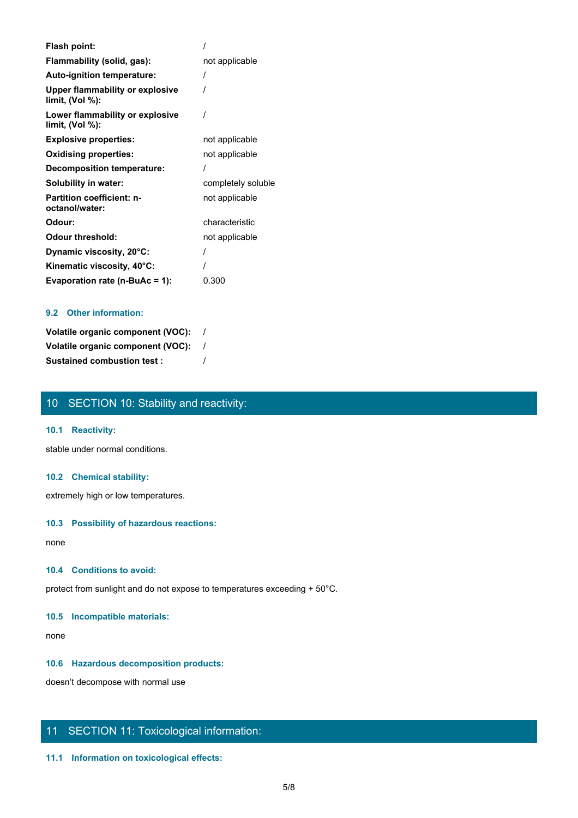| Flash point:                                       |                    |
|----------------------------------------------------|--------------------|
| Flammability (solid, gas):                         | not applicable     |
| Auto-ignition temperature:                         |                    |
| Upper flammability or explosive<br>limit, (Vol %): |                    |
| Lower flammability or explosive<br>limit, (Vol %): |                    |
| <b>Explosive properties:</b>                       | not applicable     |
| <b>Oxidising properties:</b>                       | not applicable     |
| Decomposition temperature:                         |                    |
| Solubility in water:                               | completely soluble |
| <b>Partition coefficient: n-</b><br>octanol/water: | not applicable     |
| Odour:                                             | characteristic     |
| <b>Odour threshold:</b>                            | not applicable     |
| Dynamic viscosity, 20°C:                           |                    |
| Kinematic viscosity, 40°C:                         |                    |
| Evaporation rate (n-BuAc = 1):                     | 0.300              |

# **9.2 Other information:**

| Volatile organic component (VOC): |  |
|-----------------------------------|--|
| Volatile organic component (VOC): |  |
| <b>Sustained combustion test:</b> |  |

# 10 SECTION 10: Stability and reactivity:

# **10.1 Reactivity:**

stable under normal conditions.

# **10.2 Chemical stability:**

extremely high or low temperatures.

## **10.3 Possibility of hazardous reactions:**

none and the state of the state of the state of the state of the state of the state of the state of the state of the state of the state of the state of the state of the state of the state of the state of the state of the s

## **10.4 Conditions to avoid:**

protect from sunlight and do not expose to temperatures exceeding + 50°C.

### **10.5 Incompatible materials:**

none and the state of the state of the state of the state of the state of the state of the state of the state of the state of the state of the state of the state of the state of the state of the state of the state of the s

# **10.6 Hazardous decomposition products:**

doesn't decompose with normal use

# 11 SECTION 11: Toxicological information:

# **11.1 Information on toxicological effects:**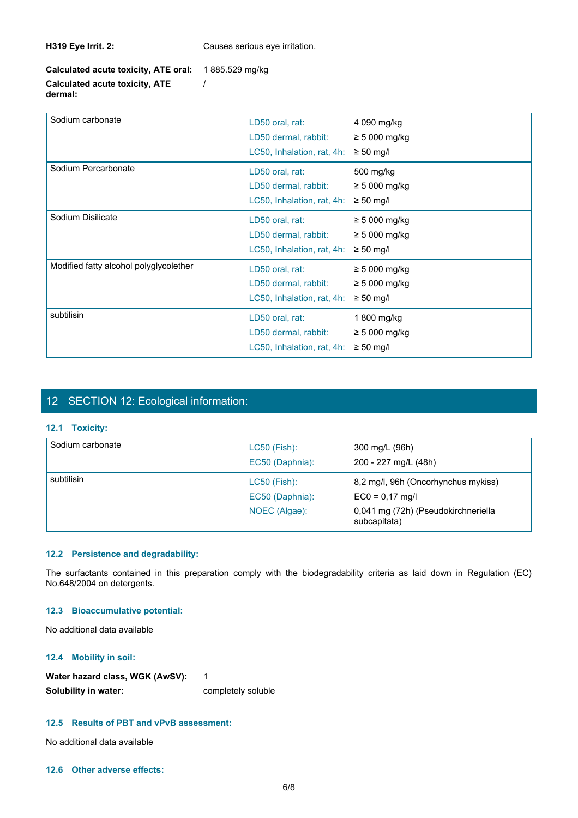**H319 Eye Irrit. 2:** Causes serious eye irritation.

**Calculated acute toxicity, ATE oral:** 1 885.529 mg/kg **Calculated acute toxicity, ATE** /

**dermal:**

| Sodium carbonate                       | LD50 oral, rat:<br>LD50 dermal, rabbit:<br>LC50, Inhalation, rat, 4h: | 4 090 mg/kg<br>$\geq$ 5 000 mg/kg<br>$\geq 50$ mg/l        |
|----------------------------------------|-----------------------------------------------------------------------|------------------------------------------------------------|
| Sodium Percarbonate                    | LD50 oral, rat:<br>LD50 dermal, rabbit:<br>LC50, Inhalation, rat, 4h: | 500 mg/kg<br>$\geq$ 5 000 mg/kg<br>$\geq 50$ mg/l          |
| Sodium Disilicate                      | LD50 oral, rat:<br>LD50 dermal, rabbit:<br>LC50, Inhalation, rat, 4h: | $\geq$ 5 000 mg/kg<br>$\geq$ 5 000 mg/kg<br>$\geq 50$ mg/l |
| Modified fatty alcohol polyglycolether | LD50 oral, rat:<br>LD50 dermal, rabbit:<br>LC50, Inhalation, rat, 4h: | $\geq$ 5 000 mg/kg<br>$\geq$ 5 000 mg/kg<br>$\geq 50$ mg/l |
| subtilisin                             | LD50 oral, rat:<br>LD50 dermal, rabbit:<br>LC50, Inhalation, rat, 4h: | 1 800 mg/kg<br>$\geq$ 5 000 mg/kg<br>$\geq 50$ mg/l        |

# 12 SECTION 12: Ecological information:

# **12.1 Toxicity:**

|                                        | LD50 dermal, rabbit:                                                                                                    | $\geq 5000$ mg/kg                                   |
|----------------------------------------|-------------------------------------------------------------------------------------------------------------------------|-----------------------------------------------------|
|                                        | LC50, Inhalation, rat, 4h: $\geq$ 50 mg/l                                                                               |                                                     |
| subtilisin                             | LD50 oral, rat:                                                                                                         | 1 800 mg/kg                                         |
|                                        | LD50 dermal, rabbit:                                                                                                    | $\geq 5000$ mg/kg                                   |
|                                        | LC50, Inhalation, rat, 4h: $\geq$ 50 mg/l                                                                               |                                                     |
|                                        |                                                                                                                         |                                                     |
|                                        |                                                                                                                         |                                                     |
|                                        |                                                                                                                         |                                                     |
| 12 SECTION 12: Ecological information: |                                                                                                                         |                                                     |
| 12.1 Toxicity:                         |                                                                                                                         |                                                     |
| Sodium carbonate                       | LC50 (Fish):                                                                                                            | 300 mg/L (96h)                                      |
|                                        |                                                                                                                         |                                                     |
|                                        | EC50 (Daphnia):                                                                                                         | 200 - 227 mg/L (48h)                                |
| subtilisin                             | LC50 (Fish):                                                                                                            | 8,2 mg/l, 96h (Oncorhynchus mykiss)                 |
|                                        | EC50 (Daphnia):                                                                                                         | $EC0 = 0,17$ mg/l                                   |
|                                        | NOEC (Algae):                                                                                                           | 0,041 mg (72h) (Pseudokirchneriella<br>subcapitata) |
|                                        |                                                                                                                         |                                                     |
| 12.2 Persistence and degradability:    |                                                                                                                         |                                                     |
|                                        |                                                                                                                         |                                                     |
| No.648/2004 on detergents.             | The surfactants contained in this preparation comply with the biodegradability criteria as laid down in Regulation (EC) |                                                     |
| 12.3 Bioaccumulative potential:        |                                                                                                                         |                                                     |
| No additional data available           |                                                                                                                         |                                                     |
|                                        |                                                                                                                         |                                                     |

# **12.2 Persistence and degradability:**

# **12.3 Bioaccumulative potential:**

# **12.4 Mobility in soil:**

| Water hazard class, WGK (AwSV): |                    |
|---------------------------------|--------------------|
| Solubility in water:            | completely soluble |

# **12.5 Results of PBT and vPvB assessment:**

No additional data available

# **12.6 Other adverse effects:**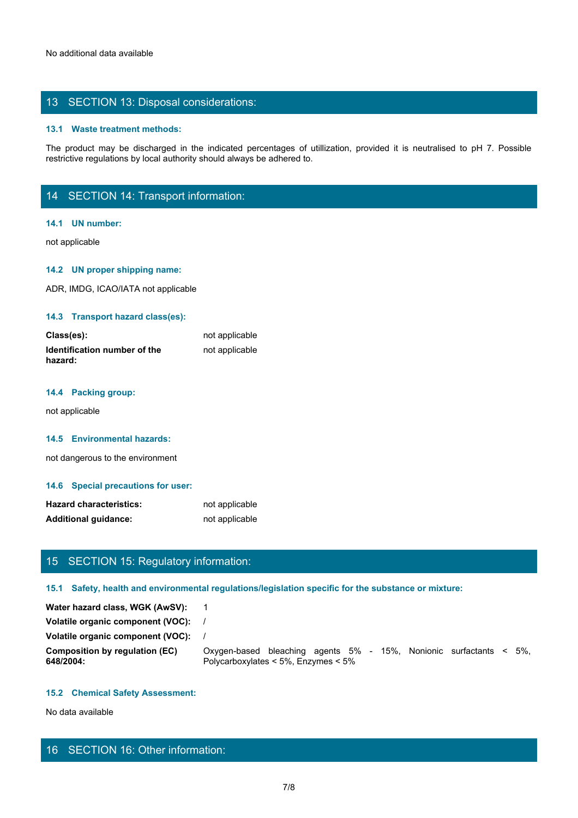# 13 SECTION 13: Disposal considerations:

### **13.1 Waste treatment methods:**

The product may be discharged in the indicated percentages of utilization, provided it is neutralised to pH 7. Possible<br>The product may be discharged in the indicated percentages of utilization, provided it is neutralised restrictive regulations by local authority should always be adhered to.

# 14 SECTION 14: Transport information:

#### **14.1 UN number:**

not applicable

# **14.2 UN proper shipping name:**

ADR, IMDG, ICAO/IATA not applicable

# **14.3 Transport hazard class(es):**

| Class(es):                                     | not applicable |
|------------------------------------------------|----------------|
| <b>Identification number of the</b><br>hazard: | not applicable |

#### **14.4 Packing group:**

not applicable

#### **14.5 Environmental hazards:**

not dangerous to the environment

#### **14.6 Special precautions for user:**

| <b>Hazard characteristics:</b> | not applicable |
|--------------------------------|----------------|
| <b>Additional guidance:</b>    | not applicable |

# 15 SECTION 15: Regulatory information:

#### **15.1 Safety, health and environmental regulations/legislation specific for the substance or mixture:**

Water hazard class, WGK (AwSV): 1 **Volatile organic component (VOC):** / **Volatile organic component (VOC):** / **Composition by regulation (EC)** Oxygen-based bleaching agents 5% - 15%, Nonionic surfactants < 5%, **648/2004:** Polycarboxylates < 5%, Enzymes < 5% not applicable<br>
Mormation:<br>
Il regulations/legislation specific for the substance or mixture:<br>
1<br>
1<br>
/<br>
Dolycarboxylates < 5%, Enzymes < 5%<br>
Polycarboxylates < 5%, Enzymes < 5%<br>
Folycarboxylates < 5%, Enzymes < 5%<br>
Folycar

## **15.2 Chemical Safety Assessment:**

No data available

# 16 SECTION 16: Other information: